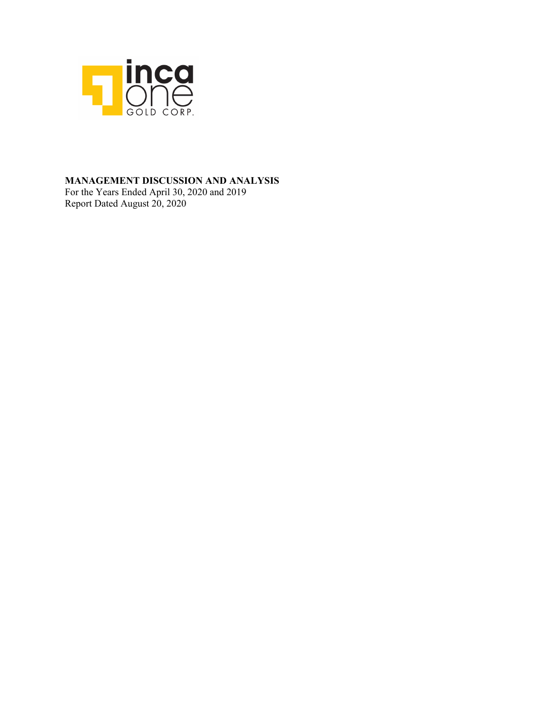

## **MANAGEMENT DISCUSSION AND ANALYSIS**

For the Years Ended April 30, 2020 and 2019 Report Dated August 20, 2020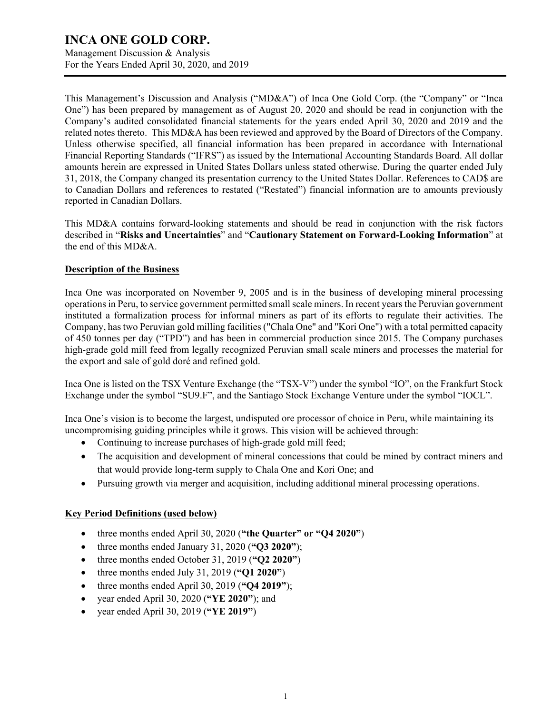Management Discussion & Analysis For the Years Ended April 30, 2020, and 2019

This Management's Discussion and Analysis ("MD&A") of Inca One Gold Corp. (the "Company" or "Inca One") has been prepared by management as of August 20, 2020 and should be read in conjunction with the Company's audited consolidated financial statements for the years ended April 30, 2020 and 2019 and the related notes thereto. This MD&A has been reviewed and approved by the Board of Directors of the Company. Unless otherwise specified, all financial information has been prepared in accordance with International Financial Reporting Standards ("IFRS") as issued by the International Accounting Standards Board. All dollar amounts herein are expressed in United States Dollars unless stated otherwise. During the quarter ended July 31, 2018, the Company changed its presentation currency to the United States Dollar. References to CAD\$ are to Canadian Dollars and references to restated ("Restated") financial information are to amounts previously reported in Canadian Dollars.

This MD&A contains forward-looking statements and should be read in conjunction with the risk factors described in "**Risks and Uncertainties**" and "**Cautionary Statement on Forward-Looking Information**" at the end of this MD&A.

### **Description of the Business**

Inca One was incorporated on November 9, 2005 and is in the business of developing mineral processing operations in Peru, to service government permitted small scale miners. In recent years the Peruvian government instituted a formalization process for informal miners as part of its efforts to regulate their activities. The Company, has two Peruvian gold milling facilities ("Chala One" and "Kori One") with a total permitted capacity of 450 tonnes per day ("TPD") and has been in commercial production since 2015. The Company purchases high-grade gold mill feed from legally recognized Peruvian small scale miners and processes the material for the export and sale of gold doré and refined gold.

Inca One is listed on the TSX Venture Exchange (the "TSX-V") under the symbol "IO", on the Frankfurt Stock Exchange under the symbol "SU9.F", and the Santiago Stock Exchange Venture under the symbol "IOCL".

Inca One's vision is to become the largest, undisputed ore processor of choice in Peru, while maintaining its uncompromising guiding principles while it grows. This vision will be achieved through:

- Continuing to increase purchases of high-grade gold mill feed;
- The acquisition and development of mineral concessions that could be mined by contract miners and that would provide long-term supply to Chala One and Kori One; and
- Pursuing growth via merger and acquisition, including additional mineral processing operations.

### **Key Period Definitions (used below)**

- three months ended April 30, 2020 (**"the Quarter" or "Q4 2020"**)
- three months ended January 31, 2020 (**"Q3 2020"**);
- three months ended October 31, 2019 (**"Q2 2020"**)
- three months ended July 31, 2019 (**"Q1 2020"**)
- three months ended April 30, 2019 (**"Q4 2019"**);
- year ended April 30, 2020 (**"YE 2020"**); and
- year ended April 30, 2019 (**"YE 2019"**)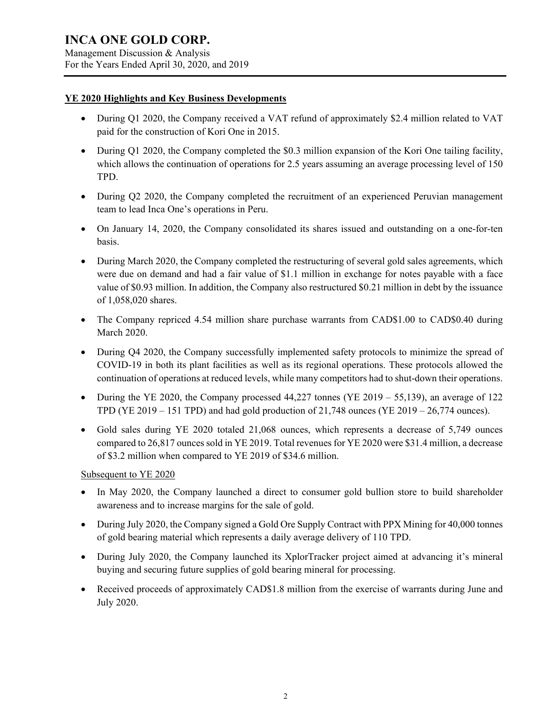#### **YE 2020 Highlights and Key Business Developments**

- During Q1 2020, the Company received a VAT refund of approximately \$2.4 million related to VAT paid for the construction of Kori One in 2015.
- During Q1 2020, the Company completed the \$0.3 million expansion of the Kori One tailing facility, which allows the continuation of operations for 2.5 years assuming an average processing level of 150 TPD.
- During Q2 2020, the Company completed the recruitment of an experienced Peruvian management team to lead Inca One's operations in Peru.
- On January 14, 2020, the Company consolidated its shares issued and outstanding on a one-for-ten basis.
- During March 2020, the Company completed the restructuring of several gold sales agreements, which were due on demand and had a fair value of \$1.1 million in exchange for notes payable with a face value of \$0.93 million. In addition, the Company also restructured \$0.21 million in debt by the issuance of 1,058,020 shares.
- The Company repriced 4.54 million share purchase warrants from CAD\$1.00 to CAD\$0.40 during March 2020.
- During Q4 2020, the Company successfully implemented safety protocols to minimize the spread of COVID-19 in both its plant facilities as well as its regional operations. These protocols allowed the continuation of operations at reduced levels, while many competitors had to shut-down their operations.
- During the YE 2020, the Company processed  $44,227$  tonnes (YE 2019 55,139), an average of 122 TPD (YE 2019 – 151 TPD) and had gold production of 21,748 ounces (YE 2019 – 26,774 ounces).
- Gold sales during YE 2020 totaled 21,068 ounces, which represents a decrease of 5,749 ounces compared to 26,817 ounces sold in YE 2019. Total revenues for YE 2020 were \$31.4 million, a decrease of \$3.2 million when compared to YE 2019 of \$34.6 million.

Subsequent to YE 2020

- In May 2020, the Company launched a direct to consumer gold bullion store to build shareholder awareness and to increase margins for the sale of gold.
- During July 2020, the Company signed a Gold Ore Supply Contract with PPX Mining for 40,000 tonnes of gold bearing material which represents a daily average delivery of 110 TPD.
- During July 2020, the Company launched its XplorTracker project aimed at advancing it's mineral buying and securing future supplies of gold bearing mineral for processing.
- Received proceeds of approximately CAD\$1.8 million from the exercise of warrants during June and July 2020.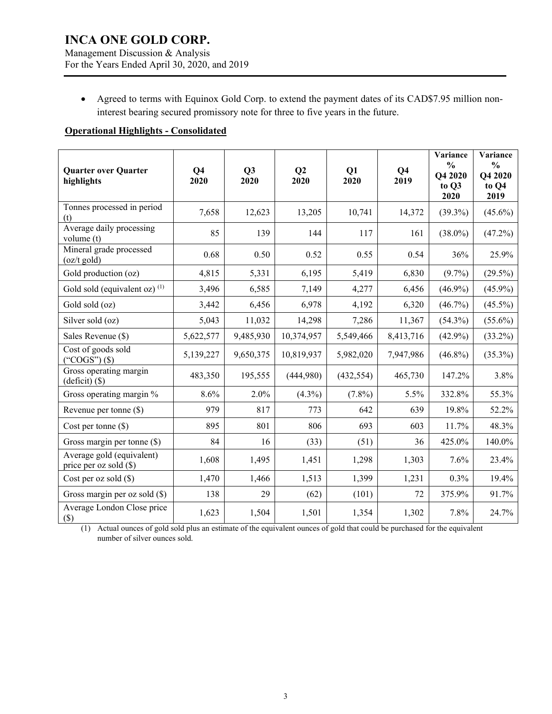Management Discussion & Analysis For the Years Ended April 30, 2020, and 2019

• Agreed to terms with Equinox Gold Corp. to extend the payment dates of its CAD\$7.95 million noninterest bearing secured promissory note for three to five years in the future.

## **Operational Highlights - Consolidated**

| <b>Quarter over Quarter</b><br>highlights           | Q <sub>4</sub><br>2020 | Q3<br>2020 | Q <sub>2</sub><br>2020 | Q1<br>2020 | Q <sub>4</sub><br>2019 | Variance<br>$\frac{0}{0}$<br>Q4 2020<br>to Q3<br>2020 | Variance<br>$\frac{0}{0}$<br>Q4 2020<br>to Q4<br>2019 |
|-----------------------------------------------------|------------------------|------------|------------------------|------------|------------------------|-------------------------------------------------------|-------------------------------------------------------|
| Tonnes processed in period<br>(t)                   | 7,658                  | 12,623     | 13,205                 | 10,741     | 14,372                 | $(39.3\%)$                                            | $(45.6\%)$                                            |
| Average daily processing<br>volume (t)              | 85                     | 139        | 144                    | 117        | 161                    | $(38.0\%)$                                            | (47.2%)                                               |
| Mineral grade processed<br>$(oz/t$ gold)            | 0.68                   | 0.50       | 0.52                   | 0.55       | 0.54                   | 36%                                                   | 25.9%                                                 |
| Gold production (oz)                                | 4,815                  | 5,331      | 6,195                  | 5,419      | 6,830                  | $(9.7\%)$                                             | $(29.5\%)$                                            |
| Gold sold (equivalent oz) $(1)$                     | 3,496                  | 6,585      | 7,149                  | 4,277      | 6,456                  | $(46.9\%)$                                            | $(45.9\%)$                                            |
| Gold sold (oz)                                      | 3,442                  | 6,456      | 6,978                  | 4,192      | 6,320                  | $(46.7\%)$                                            | $(45.5\%)$                                            |
| Silver sold (oz)                                    | 5,043                  | 11,032     | 14,298                 | 7,286      | 11,367                 | $(54.3\%)$                                            | $(55.6\%)$                                            |
| Sales Revenue (\$)                                  | 5,622,577              | 9,485,930  | 10,374,957             | 5,549,466  | 8,413,716              | $(42.9\%)$                                            | $(33.2\%)$                                            |
| Cost of goods sold<br>("COGS") $($ \$)              | 5,139,227              | 9,650,375  | 10,819,937             | 5,982,020  | 7,947,986              | $(46.8\%)$                                            | $(35.3\%)$                                            |
| Gross operating margin<br>(deficit) (\$)            | 483,350                | 195,555    | (444,980)              | (432, 554) | 465,730                | 147.2%                                                | 3.8%                                                  |
| Gross operating margin %                            | $8.6\%$                | 2.0%       | $(4.3\%)$              | $(7.8\%)$  | 5.5%                   | 332.8%                                                | 55.3%                                                 |
| Revenue per tonne $(\$)$                            | 979                    | 817        | 773                    | 642        | 639                    | 19.8%                                                 | 52.2%                                                 |
| Cost per tonne $(\$)$                               | 895                    | 801        | 806                    | 693        | 603                    | 11.7%                                                 | 48.3%                                                 |
| Gross margin per tonne (\$)                         | 84                     | 16         | (33)                   | (51)       | 36                     | 425.0%                                                | 140.0%                                                |
| Average gold (equivalent)<br>price per oz sold (\$) | 1,608                  | 1,495      | 1,451                  | 1,298      | 1,303                  | 7.6%                                                  | 23.4%                                                 |
| Cost per oz sold $(\$)$                             | 1,470                  | 1,466      | 1,513                  | 1,399      | 1,231                  | 0.3%                                                  | 19.4%                                                 |
| Gross margin per oz sold (\$)                       | 138                    | 29         | (62)                   | (101)      | 72                     | 375.9%                                                | 91.7%                                                 |
| Average London Close price<br>$($)$                 | 1,623                  | 1,504      | 1,501                  | 1,354      | 1,302                  | 7.8%                                                  | 24.7%                                                 |

(1) Actual ounces of gold sold plus an estimate of the equivalent ounces of gold that could be purchased for the equivalent number of silver ounces sold.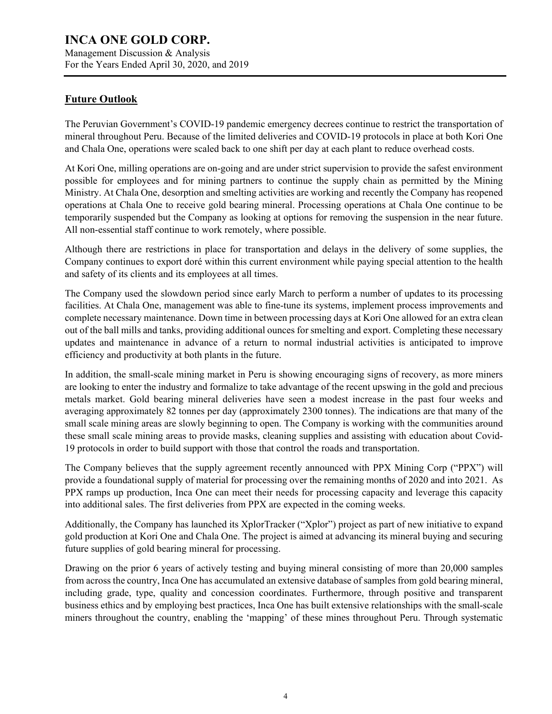## **Future Outlook**

The Peruvian Government's COVID-19 pandemic emergency decrees continue to restrict the transportation of mineral throughout Peru. Because of the limited deliveries and COVID-19 protocols in place at both Kori One and Chala One, operations were scaled back to one shift per day at each plant to reduce overhead costs.

At Kori One, milling operations are on-going and are under strict supervision to provide the safest environment possible for employees and for mining partners to continue the supply chain as permitted by the Mining Ministry. At Chala One, desorption and smelting activities are working and recently the Company has reopened operations at Chala One to receive gold bearing mineral. Processing operations at Chala One continue to be temporarily suspended but the Company as looking at options for removing the suspension in the near future. All non-essential staff continue to work remotely, where possible.

Although there are restrictions in place for transportation and delays in the delivery of some supplies, the Company continues to export doré within this current environment while paying special attention to the health and safety of its clients and its employees at all times.

The Company used the slowdown period since early March to perform a number of updates to its processing facilities. At Chala One, management was able to fine-tune its systems, implement process improvements and complete necessary maintenance. Down time in between processing days at Kori One allowed for an extra clean out of the ball mills and tanks, providing additional ounces for smelting and export. Completing these necessary updates and maintenance in advance of a return to normal industrial activities is anticipated to improve efficiency and productivity at both plants in the future.

In addition, the small-scale mining market in Peru is showing encouraging signs of recovery, as more miners are looking to enter the industry and formalize to take advantage of the recent upswing in the gold and precious metals market. Gold bearing mineral deliveries have seen a modest increase in the past four weeks and averaging approximately 82 tonnes per day (approximately 2300 tonnes). The indications are that many of the small scale mining areas are slowly beginning to open. The Company is working with the communities around these small scale mining areas to provide masks, cleaning supplies and assisting with education about Covid-19 protocols in order to build support with those that control the roads and transportation.

The Company believes that the supply agreement recently announced with PPX Mining Corp ("PPX") will provide a foundational supply of material for processing over the remaining months of 2020 and into 2021. As PPX ramps up production, Inca One can meet their needs for processing capacity and leverage this capacity into additional sales. The first deliveries from PPX are expected in the coming weeks.

Additionally, the Company has launched its XplorTracker ("Xplor") project as part of new initiative to expand gold production at Kori One and Chala One. The project is aimed at advancing its mineral buying and securing future supplies of gold bearing mineral for processing.

Drawing on the prior 6 years of actively testing and buying mineral consisting of more than 20,000 samples from across the country, Inca One has accumulated an extensive database of samples from gold bearing mineral, including grade, type, quality and concession coordinates. Furthermore, through positive and transparent business ethics and by employing best practices, Inca One has built extensive relationships with the small-scale miners throughout the country, enabling the 'mapping' of these mines throughout Peru. Through systematic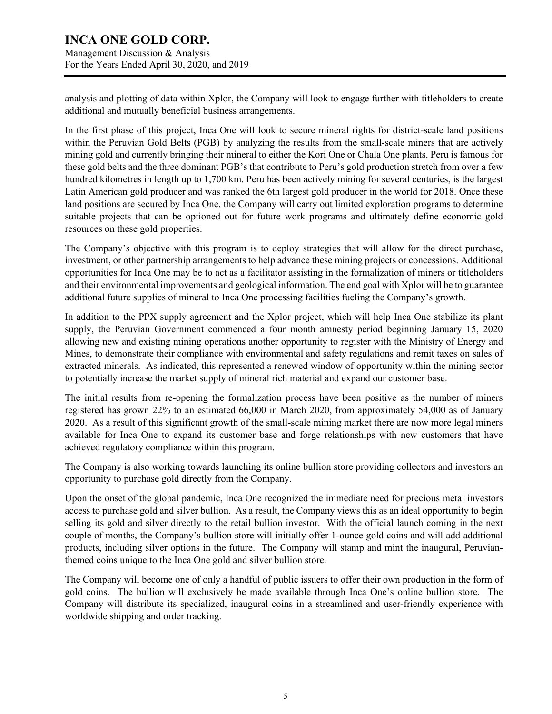Management Discussion & Analysis For the Years Ended April 30, 2020, and 2019

analysis and plotting of data within Xplor, the Company will look to engage further with titleholders to create additional and mutually beneficial business arrangements.

In the first phase of this project, Inca One will look to secure mineral rights for district-scale land positions within the Peruvian Gold Belts (PGB) by analyzing the results from the small-scale miners that are actively mining gold and currently bringing their mineral to either the Kori One or Chala One plants. Peru is famous for these gold belts and the three dominant PGB's that contribute to Peru's gold production stretch from over a few hundred kilometres in length up to 1,700 km. Peru has been actively mining for several centuries, is the largest Latin American gold producer and was ranked the 6th largest gold producer in the world for 2018. Once these land positions are secured by Inca One, the Company will carry out limited exploration programs to determine suitable projects that can be optioned out for future work programs and ultimately define economic gold resources on these gold properties.

The Company's objective with this program is to deploy strategies that will allow for the direct purchase, investment, or other partnership arrangements to help advance these mining projects or concessions. Additional opportunities for Inca One may be to act as a facilitator assisting in the formalization of miners or titleholders and their environmental improvements and geological information. The end goal with Xplor will be to guarantee additional future supplies of mineral to Inca One processing facilities fueling the Company's growth.

In addition to the PPX supply agreement and the Xplor project, which will help Inca One stabilize its plant supply, the Peruvian Government commenced a four month amnesty period beginning January 15, 2020 allowing new and existing mining operations another opportunity to register with the Ministry of Energy and Mines, to demonstrate their compliance with environmental and safety regulations and remit taxes on sales of extracted minerals. As indicated, this represented a renewed window of opportunity within the mining sector to potentially increase the market supply of mineral rich material and expand our customer base.

The initial results from re-opening the formalization process have been positive as the number of miners registered has grown 22% to an estimated 66,000 in March 2020, from approximately 54,000 as of January 2020. As a result of this significant growth of the small-scale mining market there are now more legal miners available for Inca One to expand its customer base and forge relationships with new customers that have achieved regulatory compliance within this program.

The Company is also working towards launching its online bullion store providing collectors and investors an opportunity to purchase gold directly from the Company.

Upon the onset of the global pandemic, Inca One recognized the immediate need for precious metal investors access to purchase gold and silver bullion. As a result, the Company views this as an ideal opportunity to begin selling its gold and silver directly to the retail bullion investor. With the official launch coming in the next couple of months, the Company's bullion store will initially offer 1-ounce gold coins and will add additional products, including silver options in the future. The Company will stamp and mint the inaugural, Peruvianthemed coins unique to the Inca One gold and silver bullion store.

The Company will become one of only a handful of public issuers to offer their own production in the form of gold coins. The bullion will exclusively be made available through Inca One's online bullion store. The Company will distribute its specialized, inaugural coins in a streamlined and user-friendly experience with worldwide shipping and order tracking.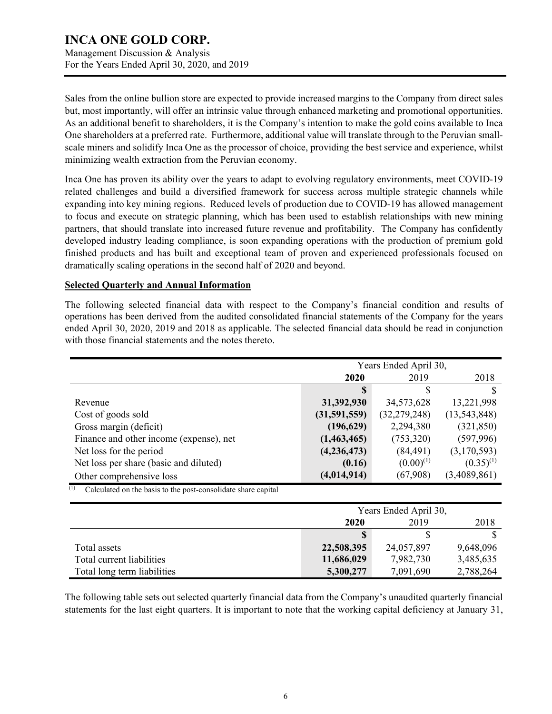For the Years Ended April 30, 2020, and 2019

Sales from the online bullion store are expected to provide increased margins to the Company from direct sales but, most importantly, will offer an intrinsic value through enhanced marketing and promotional opportunities. As an additional benefit to shareholders, it is the Company's intention to make the gold coins available to Inca One shareholders at a preferred rate. Furthermore, additional value will translate through to the Peruvian smallscale miners and solidify Inca One as the processor of choice, providing the best service and experience, whilst minimizing wealth extraction from the Peruvian economy.

Inca One has proven its ability over the years to adapt to evolving regulatory environments, meet COVID-19 related challenges and build a diversified framework for success across multiple strategic channels while expanding into key mining regions. Reduced levels of production due to COVID-19 has allowed management to focus and execute on strategic planning, which has been used to establish relationships with new mining partners, that should translate into increased future revenue and profitability. The Company has confidently developed industry leading compliance, is soon expanding operations with the production of premium gold finished products and has built and exceptional team of proven and experienced professionals focused on dramatically scaling operations in the second half of 2020 and beyond.

### **Selected Quarterly and Annual Information**

The following selected financial data with respect to the Company's financial condition and results of operations has been derived from the audited consolidated financial statements of the Company for the years ended April 30, 2020, 2019 and 2018 as applicable. The selected financial data should be read in conjunction with those financial statements and the notes thereto.

|                                                                      | Years Ended April 30, |                       |                |  |
|----------------------------------------------------------------------|-----------------------|-----------------------|----------------|--|
|                                                                      | 2020                  | 2019                  | 2018           |  |
|                                                                      |                       |                       |                |  |
| Revenue                                                              | 31,392,930            | 34,573,628            | 13,221,998     |  |
| Cost of goods sold                                                   | (31,591,559)          | (32, 279, 248)        | (13,543,848)   |  |
| Gross margin (deficit)                                               | (196, 629)            | 2,294,380             | (321, 850)     |  |
| Finance and other income (expense), net                              | (1,463,465)           | (753,320)             | (597, 996)     |  |
| Net loss for the period                                              | (4, 236, 473)         | (84, 491)             | (3,170,593)    |  |
| Net loss per share (basic and diluted)                               | (0.16)                | $(0.00)^{(1)}$        | $(0.35)^{(1)}$ |  |
| Other comprehensive loss                                             | (4, 014, 914)         | (67,908)              | (3,4089,861)   |  |
| (1)<br>Calculated on the basis to the post-consolidate share capital |                       |                       |                |  |
|                                                                      |                       | Years Ended April 30, |                |  |
|                                                                      |                       |                       |                |  |
|                                                                      | 2020                  | 2019                  | 2018           |  |
|                                                                      | S                     | \$                    | S              |  |
| Total assets                                                         | 22,508,395            | 24,057,897            | 9,648,096      |  |

| The following table sets out selected quarterly financial data from the Company's unaudited quarterly financial    |  |  |
|--------------------------------------------------------------------------------------------------------------------|--|--|
| statements for the last eight quarters. It is important to note that the working capital deficiency at January 31, |  |  |

Total current liabilities **11,686,029** 7,982,730 3,485,635 Total long term liabilities **5,300,277** 7,091,690 2,788,264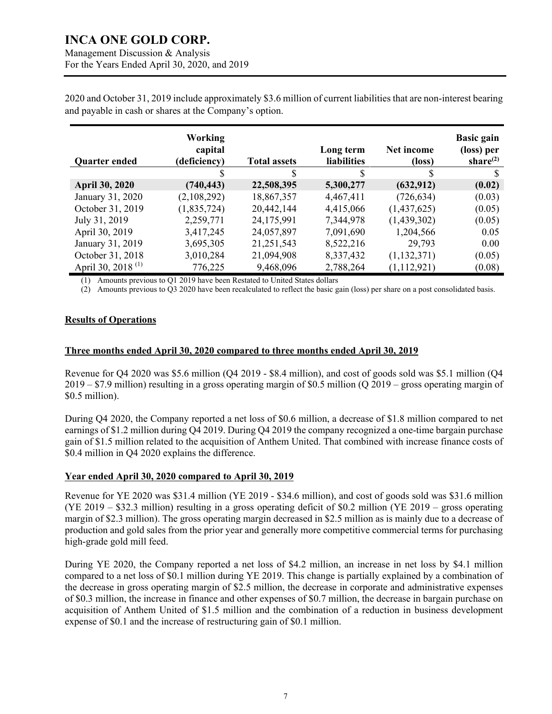Management Discussion & Analysis For the Years Ended April 30, 2020, and 2019

2020 and October 31, 2019 include approximately \$3.6 million of current liabilities that are non-interest bearing and payable in cash or shares at the Company's option.

| <b>Quarter ended</b>          | Working<br>capital<br>(deficiency) | <b>Total assets</b> | Long term<br><b>liabilities</b> | Net income<br>(loss) | <b>Basic gain</b><br>(loss) per<br>share $^{(2)}$ |
|-------------------------------|------------------------------------|---------------------|---------------------------------|----------------------|---------------------------------------------------|
|                               |                                    | S                   | S                               |                      | S                                                 |
| <b>April 30, 2020</b>         | (740, 443)                         | 22,508,395          | 5,300,277                       | (632, 912)           | (0.02)                                            |
| January 31, 2020              | (2,108,292)                        | 18,867,357          | 4,467,411                       | (726, 634)           | (0.03)                                            |
| October 31, 2019              | (1,835,724)                        | 20,442,144          | 4,415,066                       | (1,437,625)          | (0.05)                                            |
| July 31, 2019                 | 2,259,771                          | 24,175,991          | 7,344,978                       | (1,439,302)          | (0.05)                                            |
| April 30, 2019                | 3,417,245                          | 24,057,897          | 7,091,690                       | 1,204,566            | 0.05                                              |
| January 31, 2019              | 3,695,305                          | 21,251,543          | 8,522,216                       | 29,793               | 0.00                                              |
| October 31, 2018              | 3,010,284                          | 21,094,908          | 8,337,432                       | (1,132,371)          | (0.05)                                            |
| April 30, 2018 <sup>(1)</sup> | 776,225                            | 9,468,096           | 2,788,264                       | (1, 112, 921)        | (0.08)                                            |

(1) Amounts previous to Q1 2019 have been Restated to United States dollars

(2) Amounts previous to Q3 2020 have been recalculated to reflect the basic gain (loss) per share on a post consolidated basis.

#### **Results of Operations**

#### **Three months ended April 30, 2020 compared to three months ended April 30, 2019**

Revenue for Q4 2020 was \$5.6 million (Q4 2019 - \$8.4 million), and cost of goods sold was \$5.1 million (Q4 2019 – \$7.9 million) resulting in a gross operating margin of \$0.5 million (Q 2019 – gross operating margin of \$0.5 million).

During Q4 2020, the Company reported a net loss of \$0.6 million, a decrease of \$1.8 million compared to net earnings of \$1.2 million during Q4 2019. During Q4 2019 the company recognized a one-time bargain purchase gain of \$1.5 million related to the acquisition of Anthem United. That combined with increase finance costs of \$0.4 million in Q4 2020 explains the difference.

#### **Year ended April 30, 2020 compared to April 30, 2019**

Revenue for YE 2020 was \$31.4 million (YE 2019 - \$34.6 million), and cost of goods sold was \$31.6 million (YE 2019 – \$32.3 million) resulting in a gross operating deficit of \$0.2 million (YE 2019 – gross operating margin of \$2.3 million). The gross operating margin decreased in \$2.5 million as is mainly due to a decrease of production and gold sales from the prior year and generally more competitive commercial terms for purchasing high-grade gold mill feed.

During YE 2020, the Company reported a net loss of \$4.2 million, an increase in net loss by \$4.1 million compared to a net loss of \$0.1 million during YE 2019. This change is partially explained by a combination of the decrease in gross operating margin of \$2.5 million, the decrease in corporate and administrative expenses of \$0.3 million, the increase in finance and other expenses of \$0.7 million, the decrease in bargain purchase on acquisition of Anthem United of \$1.5 million and the combination of a reduction in business development expense of \$0.1 and the increase of restructuring gain of \$0.1 million.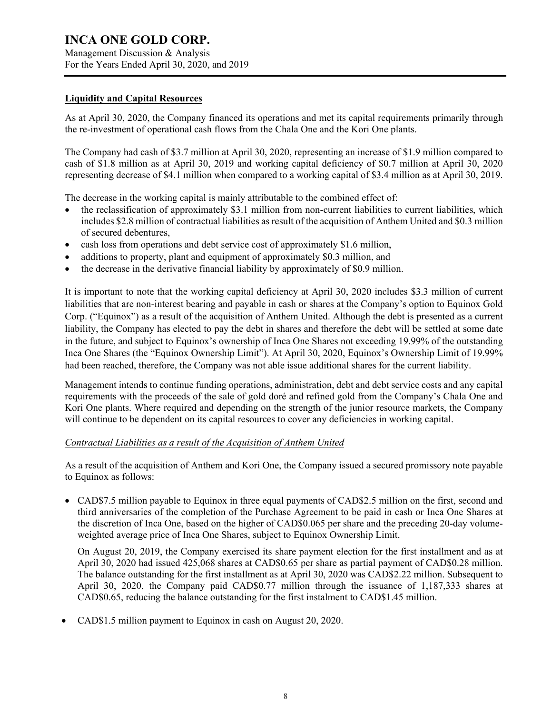Management Discussion & Analysis For the Years Ended April 30, 2020, and 2019

#### **Liquidity and Capital Resources**

As at April 30, 2020, the Company financed its operations and met its capital requirements primarily through the re-investment of operational cash flows from the Chala One and the Kori One plants.

The Company had cash of \$3.7 million at April 30, 2020, representing an increase of \$1.9 million compared to cash of \$1.8 million as at April 30, 2019 and working capital deficiency of \$0.7 million at April 30, 2020 representing decrease of \$4.1 million when compared to a working capital of \$3.4 million as at April 30, 2019.

The decrease in the working capital is mainly attributable to the combined effect of:

- the reclassification of approximately \$3.1 million from non-current liabilities to current liabilities, which includes \$2.8 million of contractual liabilities as result of the acquisition of Anthem United and \$0.3 million of secured debentures,
- cash loss from operations and debt service cost of approximately \$1.6 million,
- additions to property, plant and equipment of approximately \$0.3 million, and
- the decrease in the derivative financial liability by approximately of \$0.9 million.

It is important to note that the working capital deficiency at April 30, 2020 includes \$3.3 million of current liabilities that are non-interest bearing and payable in cash or shares at the Company's option to Equinox Gold Corp. ("Equinox") as a result of the acquisition of Anthem United. Although the debt is presented as a current liability, the Company has elected to pay the debt in shares and therefore the debt will be settled at some date in the future, and subject to Equinox's ownership of Inca One Shares not exceeding 19.99% of the outstanding Inca One Shares (the "Equinox Ownership Limit"). At April 30, 2020, Equinox's Ownership Limit of 19.99% had been reached, therefore, the Company was not able issue additional shares for the current liability.

Management intends to continue funding operations, administration, debt and debt service costs and any capital requirements with the proceeds of the sale of gold doré and refined gold from the Company's Chala One and Kori One plants. Where required and depending on the strength of the junior resource markets, the Company will continue to be dependent on its capital resources to cover any deficiencies in working capital.

#### *Contractual Liabilities as a result of the Acquisition of Anthem United*

As a result of the acquisition of Anthem and Kori One, the Company issued a secured promissory note payable to Equinox as follows:

• CAD\$7.5 million payable to Equinox in three equal payments of CAD\$2.5 million on the first, second and third anniversaries of the completion of the Purchase Agreement to be paid in cash or Inca One Shares at the discretion of Inca One, based on the higher of CAD\$0.065 per share and the preceding 20-day volumeweighted average price of Inca One Shares, subject to Equinox Ownership Limit.

On August 20, 2019, the Company exercised its share payment election for the first installment and as at April 30, 2020 had issued 425,068 shares at CAD\$0.65 per share as partial payment of CAD\$0.28 million. The balance outstanding for the first installment as at April 30, 2020 was CAD\$2.22 million. Subsequent to April 30, 2020, the Company paid CAD\$0.77 million through the issuance of 1,187,333 shares at CAD\$0.65, reducing the balance outstanding for the first instalment to CAD\$1.45 million.

• CAD\$1.5 million payment to Equinox in cash on August 20, 2020.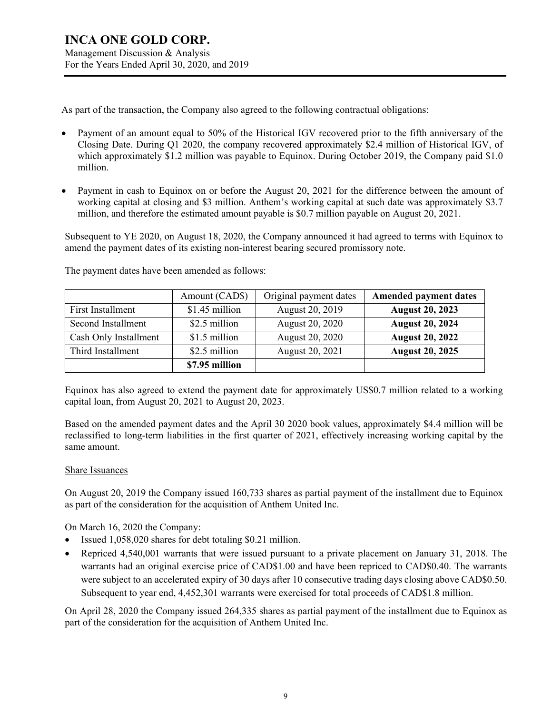As part of the transaction, the Company also agreed to the following contractual obligations:

- Payment of an amount equal to 50% of the Historical IGV recovered prior to the fifth anniversary of the Closing Date. During Q1 2020, the company recovered approximately \$2.4 million of Historical IGV, of which approximately \$1.2 million was payable to Equinox. During October 2019, the Company paid \$1.0 million.
- Payment in cash to Equinox on or before the August 20, 2021 for the difference between the amount of working capital at closing and \$3 million. Anthem's working capital at such date was approximately \$3.7 million, and therefore the estimated amount payable is \$0.7 million payable on August 20, 2021.

Subsequent to YE 2020, on August 18, 2020, the Company announced it had agreed to terms with Equinox to amend the payment dates of its existing non-interest bearing secured promissory note.

|                       | Amount (CAD\$) | Original payment dates | <b>Amended payment dates</b> |
|-----------------------|----------------|------------------------|------------------------------|
| First Installment     | \$1.45 million | August 20, 2019        | <b>August 20, 2023</b>       |
| Second Installment    | \$2.5 million  | August 20, 2020        | <b>August 20, 2024</b>       |
| Cash Only Installment | \$1.5 million  | August 20, 2020        | <b>August 20, 2022</b>       |
| Third Installment     | \$2.5 million  | August 20, 2021        | <b>August 20, 2025</b>       |
|                       | \$7.95 million |                        |                              |

The payment dates have been amended as follows:

Equinox has also agreed to extend the payment date for approximately US\$0.7 million related to a working capital loan, from August 20, 2021 to August 20, 2023.

Based on the amended payment dates and the April 30 2020 book values, approximately \$4.4 million will be reclassified to long-term liabilities in the first quarter of 2021, effectively increasing working capital by the same amount.

#### Share Issuances

On August 20, 2019 the Company issued 160,733 shares as partial payment of the installment due to Equinox as part of the consideration for the acquisition of Anthem United Inc.

On March 16, 2020 the Company:

- Issued 1,058,020 shares for debt totaling \$0.21 million.
- Repriced 4,540,001 warrants that were issued pursuant to a private placement on January 31, 2018. The warrants had an original exercise price of CAD\$1.00 and have been repriced to CAD\$0.40. The warrants were subject to an accelerated expiry of 30 days after 10 consecutive trading days closing above CAD\$0.50. Subsequent to year end, 4,452,301 warrants were exercised for total proceeds of CAD\$1.8 million.

On April 28, 2020 the Company issued 264,335 shares as partial payment of the installment due to Equinox as part of the consideration for the acquisition of Anthem United Inc.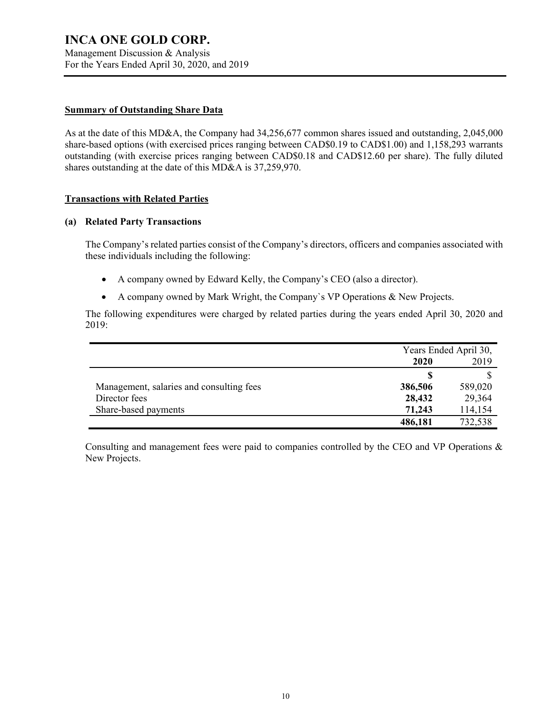Management Discussion & Analysis For the Years Ended April 30, 2020, and 2019

#### **Summary of Outstanding Share Data**

As at the date of this MD&A, the Company had 34,256,677 common shares issued and outstanding, 2,045,000 share-based options (with exercised prices ranging between CAD\$0.19 to CAD\$1.00) and 1,158,293 warrants outstanding (with exercise prices ranging between CAD\$0.18 and CAD\$12.60 per share). The fully diluted shares outstanding at the date of this MD&A is 37,259,970.

#### **Transactions with Related Parties**

#### **(a) Related Party Transactions**

The Company's related parties consist of the Company's directors, officers and companies associated with these individuals including the following:

- A company owned by Edward Kelly, the Company's CEO (also a director).
- A company owned by Mark Wright, the Company`s VP Operations & New Projects.

The following expenditures were charged by related parties during the years ended April 30, 2020 and 2019:

|                                          | Years Ended April 30, |         |  |
|------------------------------------------|-----------------------|---------|--|
|                                          | 2019<br>2020          |         |  |
|                                          |                       |         |  |
| Management, salaries and consulting fees | 386,506               | 589,020 |  |
| Director fees                            | 28,432                | 29,364  |  |
| Share-based payments                     | 71,243                | 114,154 |  |
|                                          | 486,181               | 732,538 |  |

Consulting and management fees were paid to companies controlled by the CEO and VP Operations & New Projects.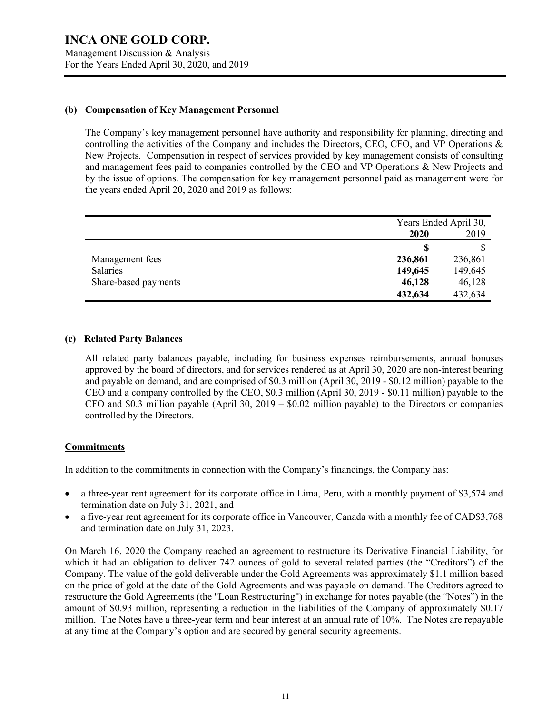#### **(b) Compensation of Key Management Personnel**

The Company's key management personnel have authority and responsibility for planning, directing and controlling the activities of the Company and includes the Directors, CEO, CFO, and VP Operations & New Projects. Compensation in respect of services provided by key management consists of consulting and management fees paid to companies controlled by the CEO and VP Operations & New Projects and by the issue of options. The compensation for key management personnel paid as management were for the years ended April 20, 2020 and 2019 as follows:

|                      |         | Years Ended April 30, |  |
|----------------------|---------|-----------------------|--|
|                      | 2020    | 2019                  |  |
|                      |         |                       |  |
| Management fees      | 236,861 | 236,861               |  |
| Salaries             | 149,645 | 149,645               |  |
| Share-based payments | 46,128  | 46,128                |  |
|                      | 432,634 | 432,634               |  |

#### **(c) Related Party Balances**

All related party balances payable, including for business expenses reimbursements, annual bonuses approved by the board of directors, and for services rendered as at April 30, 2020 are non-interest bearing and payable on demand, and are comprised of \$0.3 million (April 30, 2019 - \$0.12 million) payable to the CEO and a company controlled by the CEO, \$0.3 million (April 30, 2019 - \$0.11 million) payable to the CFO and \$0.3 million payable (April 30, 2019 – \$0.02 million payable) to the Directors or companies controlled by the Directors.

#### **Commitments**

In addition to the commitments in connection with the Company's financings, the Company has:

- a three-year rent agreement for its corporate office in Lima, Peru, with a monthly payment of \$3,574 and termination date on July 31, 2021, and
- a five-year rent agreement for its corporate office in Vancouver, Canada with a monthly fee of CAD\$3,768 and termination date on July 31, 2023.

On March 16, 2020 the Company reached an agreement to restructure its Derivative Financial Liability, for which it had an obligation to deliver 742 ounces of gold to several related parties (the "Creditors") of the Company. The value of the gold deliverable under the Gold Agreements was approximately \$1.1 million based on the price of gold at the date of the Gold Agreements and was payable on demand. The Creditors agreed to restructure the Gold Agreements (the "Loan Restructuring") in exchange for notes payable (the "Notes") in the amount of \$0.93 million, representing a reduction in the liabilities of the Company of approximately \$0.17 million. The Notes have a three-year term and bear interest at an annual rate of 10%. The Notes are repayable at any time at the Company's option and are secured by general security agreements.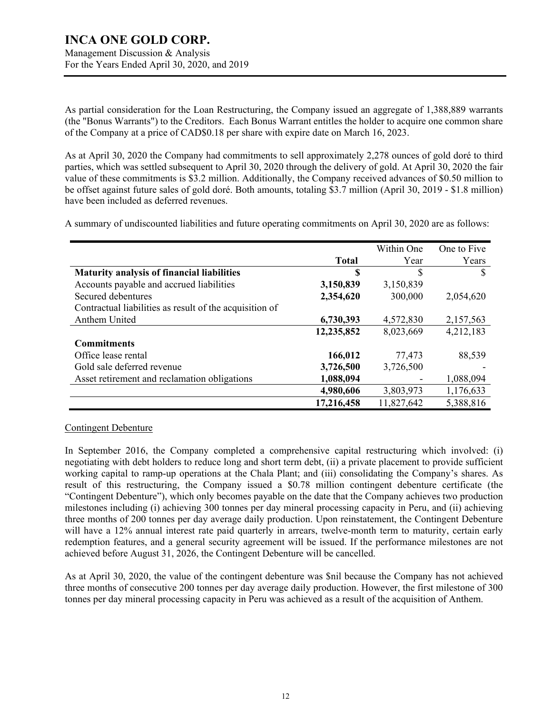As partial consideration for the Loan Restructuring, the Company issued an aggregate of 1,388,889 warrants (the "Bonus Warrants") to the Creditors. Each Bonus Warrant entitles the holder to acquire one common share of the Company at a price of CAD\$0.18 per share with expire date on March 16, 2023.

As at April 30, 2020 the Company had commitments to sell approximately 2,278 ounces of gold doré to third parties, which was settled subsequent to April 30, 2020 through the delivery of gold. At April 30, 2020 the fair value of these commitments is \$3.2 million. Additionally, the Company received advances of \$0.50 million to be offset against future sales of gold doré. Both amounts, totaling \$3.7 million (April 30, 2019 - \$1.8 million) have been included as deferred revenues.

A summary of undiscounted liabilities and future operating commitments on April 30, 2020 are as follows:

|                                                         |              | Within One | One to Five |
|---------------------------------------------------------|--------------|------------|-------------|
|                                                         | <b>Total</b> | Year       | Years       |
| <b>Maturity analysis of financial liabilities</b>       | \$           | \$         |             |
| Accounts payable and accrued liabilities                | 3,150,839    | 3,150,839  |             |
| Secured debentures                                      | 2,354,620    | 300,000    | 2,054,620   |
| Contractual liabilities as result of the acquisition of |              |            |             |
| Anthem United                                           | 6,730,393    | 4,572,830  | 2,157,563   |
|                                                         | 12,235,852   | 8,023,669  | 4,212,183   |
| <b>Commitments</b>                                      |              |            |             |
| Office lease rental                                     | 166,012      | 77,473     | 88,539      |
| Gold sale deferred revenue                              | 3,726,500    | 3,726,500  |             |
| Asset retirement and reclamation obligations            | 1,088,094    |            | 1,088,094   |
|                                                         | 4,980,606    | 3,803,973  | 1,176,633   |
|                                                         | 17,216,458   | 11,827,642 | 5,388,816   |

#### Contingent Debenture

In September 2016, the Company completed a comprehensive capital restructuring which involved: (i) negotiating with debt holders to reduce long and short term debt, (ii) a private placement to provide sufficient working capital to ramp-up operations at the Chala Plant; and (iii) consolidating the Company's shares. As result of this restructuring, the Company issued a \$0.78 million contingent debenture certificate (the "Contingent Debenture"), which only becomes payable on the date that the Company achieves two production milestones including (i) achieving 300 tonnes per day mineral processing capacity in Peru, and (ii) achieving three months of 200 tonnes per day average daily production. Upon reinstatement, the Contingent Debenture will have a 12% annual interest rate paid quarterly in arrears, twelve-month term to maturity, certain early redemption features, and a general security agreement will be issued. If the performance milestones are not achieved before August 31, 2026, the Contingent Debenture will be cancelled.

As at April 30, 2020, the value of the contingent debenture was \$nil because the Company has not achieved three months of consecutive 200 tonnes per day average daily production. However, the first milestone of 300 tonnes per day mineral processing capacity in Peru was achieved as a result of the acquisition of Anthem.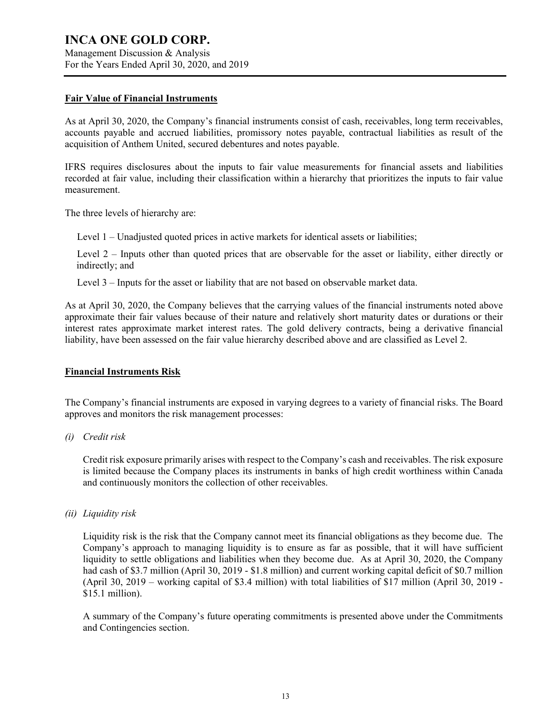#### **Fair Value of Financial Instruments**

As at April 30, 2020, the Company's financial instruments consist of cash, receivables, long term receivables, accounts payable and accrued liabilities, promissory notes payable, contractual liabilities as result of the acquisition of Anthem United, secured debentures and notes payable.

IFRS requires disclosures about the inputs to fair value measurements for financial assets and liabilities recorded at fair value, including their classification within a hierarchy that prioritizes the inputs to fair value measurement.

The three levels of hierarchy are:

- Level 1 Unadjusted quoted prices in active markets for identical assets or liabilities;
- Level 2 Inputs other than quoted prices that are observable for the asset or liability, either directly or indirectly; and
- Level 3 Inputs for the asset or liability that are not based on observable market data.

As at April 30, 2020, the Company believes that the carrying values of the financial instruments noted above approximate their fair values because of their nature and relatively short maturity dates or durations or their interest rates approximate market interest rates. The gold delivery contracts, being a derivative financial liability, have been assessed on the fair value hierarchy described above and are classified as Level 2.

#### **Financial Instruments Risk**

The Company's financial instruments are exposed in varying degrees to a variety of financial risks. The Board approves and monitors the risk management processes:

*(i) Credit risk*

Credit risk exposure primarily arises with respect to the Company's cash and receivables. The risk exposure is limited because the Company places its instruments in banks of high credit worthiness within Canada and continuously monitors the collection of other receivables.

*(ii) Liquidity risk*

Liquidity risk is the risk that the Company cannot meet its financial obligations as they become due. The Company's approach to managing liquidity is to ensure as far as possible, that it will have sufficient liquidity to settle obligations and liabilities when they become due. As at April 30, 2020, the Company had cash of \$3.7 million (April 30, 2019 - \$1.8 million) and current working capital deficit of \$0.7 million (April 30, 2019 – working capital of \$3.4 million) with total liabilities of \$17 million (April 30, 2019 - \$15.1 million).

A summary of the Company's future operating commitments is presented above under the Commitments and Contingencies section.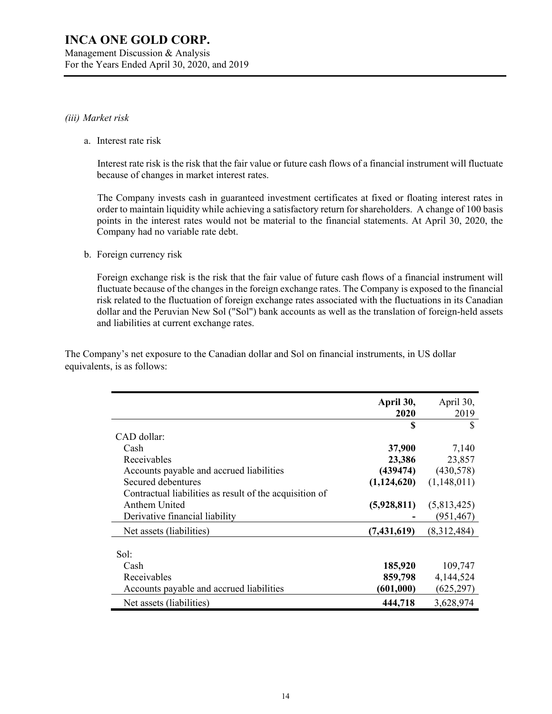#### *(iii) Market risk*

a. Interest rate risk

Interest rate risk is the risk that the fair value or future cash flows of a financial instrument will fluctuate because of changes in market interest rates.

The Company invests cash in guaranteed investment certificates at fixed or floating interest rates in order to maintain liquidity while achieving a satisfactory return for shareholders. A change of 100 basis points in the interest rates would not be material to the financial statements. At April 30, 2020, the Company had no variable rate debt.

b. Foreign currency risk

Foreign exchange risk is the risk that the fair value of future cash flows of a financial instrument will fluctuate because of the changes in the foreign exchange rates. The Company is exposed to the financial risk related to the fluctuation of foreign exchange rates associated with the fluctuations in its Canadian dollar and the Peruvian New Sol ("Sol") bank accounts as well as the translation of foreign-held assets and liabilities at current exchange rates.

The Company's net exposure to the Canadian dollar and Sol on financial instruments, in US dollar equivalents, is as follows:

|                                                         | April 30,<br>2020 | April 30,<br>2019 |
|---------------------------------------------------------|-------------------|-------------------|
|                                                         | S                 | S                 |
| CAD dollar:                                             |                   |                   |
| Cash                                                    | 37,900            | 7,140             |
| Receivables                                             | 23,386            | 23,857            |
| Accounts payable and accrued liabilities                | (439474)          | (430,578)         |
| Secured debentures                                      | (1,124,620)       | (1,148,011)       |
| Contractual liabilities as result of the acquisition of |                   |                   |
| Anthem United                                           | (5,928,811)       | (5,813,425)       |
| Derivative financial liability                          |                   | (951,467)         |
| Net assets (liabilities)                                | (7, 431, 619)     | (8,312,484)       |
|                                                         |                   |                   |
| Sol:                                                    |                   |                   |
| Cash                                                    | 185,920           | 109,747           |
| Receivables                                             | 859,798           | 4,144,524         |
| Accounts payable and accrued liabilities                | (601,000)         | (625, 297)        |
| Net assets (liabilities)                                | 444,718           | 3,628,974         |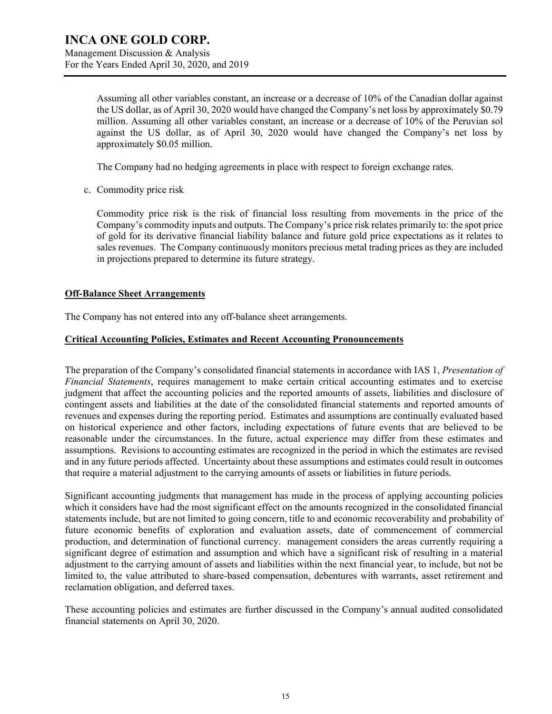Assuming all other variables constant, an increase or a decrease of 10% of the Canadian dollar against the US dollar, as of April 30, 2020 would have changed the Company's net loss by approximately \$0.79 million. Assuming all other variables constant, an increase or a decrease of 10% of the Peruvian sol against the US dollar, as of April 30, 2020 would have changed the Company's net loss by approximately \$0.05 million.

The Company had no hedging agreements in place with respect to foreign exchange rates.

c. Commodity price risk

Commodity price risk is the risk of financial loss resulting from movements in the price of the Company's commodity inputs and outputs. The Company's price risk relates primarily to: the spot price of gold for its derivative financial liability balance and future gold price expectations as it relates to sales revenues. The Company continuously monitors precious metal trading prices as they are included in projections prepared to determine its future strategy.

### **Off-Balance Sheet Arrangements**

The Company has not entered into any off-balance sheet arrangements.

### **Critical Accounting Policies, Estimates and Recent Accounting Pronouncements**

The preparation of the Company's consolidated financial statements in accordance with IAS 1, *Presentation of Financial Statements*, requires management to make certain critical accounting estimates and to exercise judgment that affect the accounting policies and the reported amounts of assets, liabilities and disclosure of contingent assets and liabilities at the date of the consolidated financial statements and reported amounts of revenues and expenses during the reporting period. Estimates and assumptions are continually evaluated based on historical experience and other factors, including expectations of future events that are believed to be reasonable under the circumstances. In the future, actual experience may differ from these estimates and assumptions. Revisions to accounting estimates are recognized in the period in which the estimates are revised and in any future periods affected. Uncertainty about these assumptions and estimates could result in outcomes that require a material adjustment to the carrying amounts of assets or liabilities in future periods.

Significant accounting judgments that management has made in the process of applying accounting policies which it considers have had the most significant effect on the amounts recognized in the consolidated financial statements include, but are not limited to going concern, title to and economic recoverability and probability of future economic benefits of exploration and evaluation assets, date of commencement of commercial production, and determination of functional currency. management considers the areas currently requiring a significant degree of estimation and assumption and which have a significant risk of resulting in a material adjustment to the carrying amount of assets and liabilities within the next financial year, to include, but not be limited to, the value attributed to share-based compensation, debentures with warrants, asset retirement and reclamation obligation, and deferred taxes.

These accounting policies and estimates are further discussed in the Company's annual audited consolidated financial statements on April 30, 2020.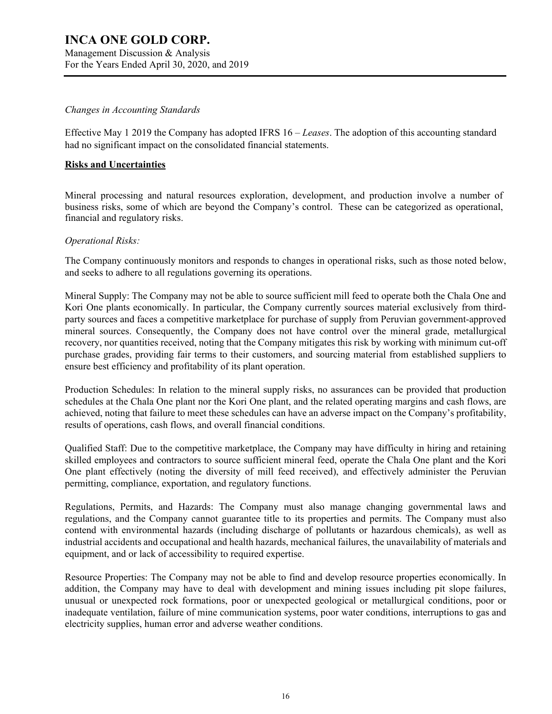#### *Changes in Accounting Standards*

Effective May 1 2019 the Company has adopted IFRS 16 – *Leases*. The adoption of this accounting standard had no significant impact on the consolidated financial statements.

#### **Risks and Uncertainties**

Mineral processing and natural resources exploration, development, and production involve a number of business risks, some of which are beyond the Company's control. These can be categorized as operational, financial and regulatory risks.

#### *Operational Risks:*

The Company continuously monitors and responds to changes in operational risks, such as those noted below, and seeks to adhere to all regulations governing its operations.

Mineral Supply: The Company may not be able to source sufficient mill feed to operate both the Chala One and Kori One plants economically. In particular, the Company currently sources material exclusively from thirdparty sources and faces a competitive marketplace for purchase of supply from Peruvian government-approved mineral sources. Consequently, the Company does not have control over the mineral grade, metallurgical recovery, nor quantities received, noting that the Company mitigates this risk by working with minimum cut-off purchase grades, providing fair terms to their customers, and sourcing material from established suppliers to ensure best efficiency and profitability of its plant operation.

Production Schedules: In relation to the mineral supply risks, no assurances can be provided that production schedules at the Chala One plant nor the Kori One plant, and the related operating margins and cash flows, are achieved, noting that failure to meet these schedules can have an adverse impact on the Company's profitability, results of operations, cash flows, and overall financial conditions.

Qualified Staff: Due to the competitive marketplace, the Company may have difficulty in hiring and retaining skilled employees and contractors to source sufficient mineral feed, operate the Chala One plant and the Kori One plant effectively (noting the diversity of mill feed received), and effectively administer the Peruvian permitting, compliance, exportation, and regulatory functions.

Regulations, Permits, and Hazards: The Company must also manage changing governmental laws and regulations, and the Company cannot guarantee title to its properties and permits. The Company must also contend with environmental hazards (including discharge of pollutants or hazardous chemicals), as well as industrial accidents and occupational and health hazards, mechanical failures, the unavailability of materials and equipment, and or lack of accessibility to required expertise.

Resource Properties: The Company may not be able to find and develop resource properties economically. In addition, the Company may have to deal with development and mining issues including pit slope failures, unusual or unexpected rock formations, poor or unexpected geological or metallurgical conditions, poor or inadequate ventilation, failure of mine communication systems, poor water conditions, interruptions to gas and electricity supplies, human error and adverse weather conditions.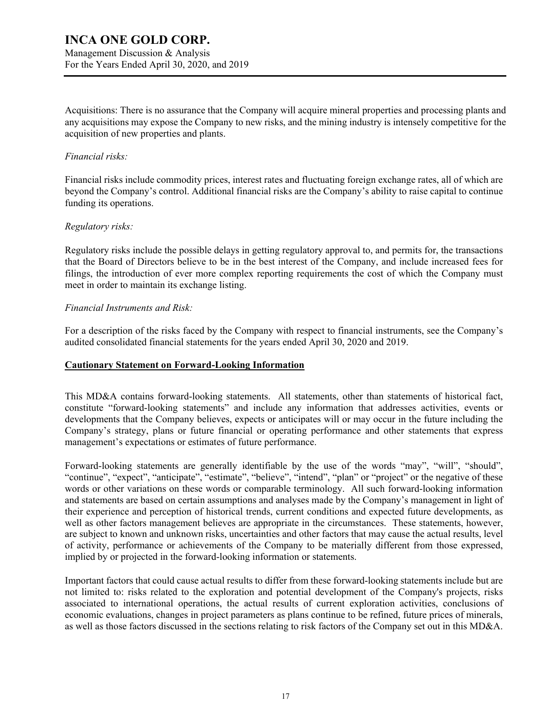Management Discussion & Analysis For the Years Ended April 30, 2020, and 2019

Acquisitions: There is no assurance that the Company will acquire mineral properties and processing plants and any acquisitions may expose the Company to new risks, and the mining industry is intensely competitive for the acquisition of new properties and plants.

#### *Financial risks:*

Financial risks include commodity prices, interest rates and fluctuating foreign exchange rates, all of which are beyond the Company's control. Additional financial risks are the Company's ability to raise capital to continue funding its operations.

#### *Regulatory risks:*

Regulatory risks include the possible delays in getting regulatory approval to, and permits for, the transactions that the Board of Directors believe to be in the best interest of the Company, and include increased fees for filings, the introduction of ever more complex reporting requirements the cost of which the Company must meet in order to maintain its exchange listing.

#### *Financial Instruments and Risk:*

For a description of the risks faced by the Company with respect to financial instruments, see the Company's audited consolidated financial statements for the years ended April 30, 2020 and 2019.

#### **Cautionary Statement on Forward-Looking Information**

This MD&A contains forward-looking statements. All statements, other than statements of historical fact, constitute "forward-looking statements" and include any information that addresses activities, events or developments that the Company believes, expects or anticipates will or may occur in the future including the Company's strategy, plans or future financial or operating performance and other statements that express management's expectations or estimates of future performance.

Forward-looking statements are generally identifiable by the use of the words "may", "will", "should", "continue", "expect", "anticipate", "estimate", "believe", "intend", "plan" or "project" or the negative of these words or other variations on these words or comparable terminology. All such forward-looking information and statements are based on certain assumptions and analyses made by the Company's management in light of their experience and perception of historical trends, current conditions and expected future developments, as well as other factors management believes are appropriate in the circumstances. These statements, however, are subject to known and unknown risks, uncertainties and other factors that may cause the actual results, level of activity, performance or achievements of the Company to be materially different from those expressed, implied by or projected in the forward-looking information or statements.

Important factors that could cause actual results to differ from these forward-looking statements include but are not limited to: risks related to the exploration and potential development of the Company's projects, risks associated to international operations, the actual results of current exploration activities, conclusions of economic evaluations, changes in project parameters as plans continue to be refined, future prices of minerals, as well as those factors discussed in the sections relating to risk factors of the Company set out in this MD&A.